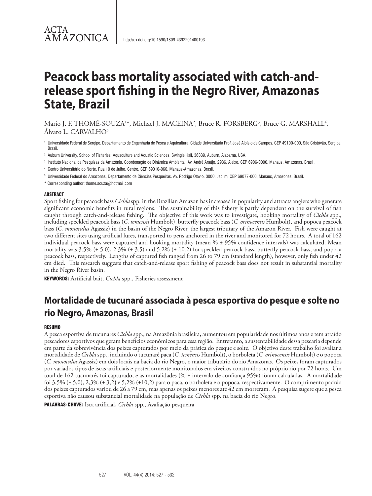Mario J. F. THOMĖ-SOUZA<sup>1\*</sup>, Michael J. MACEINA<sup>2</sup>, Bruce R. FORSBERG<sup>3</sup>, Bruce G. MARSHALL<sup>4</sup>, Álvaro L. CARVALHO5

- <sup>1</sup> Universidade Federal de Sergipe, Departamento de Engenharia de Pesca e Aquicultura, Cidade Universitária Prof. José Aloísio de Campos, CEP 49100-000, São Cristóvão, Sergipe, Brasil.
- <sup>2</sup> Auburn University, School of Fisheries, Aquaculture and Aquatic Sciences, Swingle Hall, 36839, Auburn, Alabama, USA.
- <sup>3</sup> Instituto Nacional de Pesquisas da Amazônia, Coordenação de Dinâmica Ambiental, Av. André Araújo, 2936, Aleixo, CEP 6906-0000, Manaus, Amazonas, Brasil.
- <sup>4</sup> Centro Universitário do Norte, Rua 10 de Julho, Centro, CEP 69010-060, Manaus-Amazonas, Brasil.
- <sup>5</sup> Universidade Federal do Amazonas, Departamento de Ciências Pesqueiras. Av. Rodrigo Otávio, 3000, Japiim, CEP 69077-000, Manaus, Amazonas, Brasil.
- \* Corresponding author: thome.souza@hotmail.com

#### **ABSTRACT**

Sport fishing for peacock bass *Cichla* spp*.* in the Brazilian Amazon has increased in popularity and attracts anglers who generate significant economic benefits in rural regions. The sustainability of this fishery is partly dependent on the survival of fish caught through catch-and-release fishing. The objective of this work was to investigate, hooking mortality of *Cichla* spp., including speckled peacock bass (*C. temensis* Humbolt), butterfly peacock bass (*C. orinocensis* Humbolt), and popoca peacock bass (*C. monoculus* Agassiz) in the basin of the Negro River, the largest tributary of the Amazon River. Fish were caught at two different sites using artificial lures, transported to pens anchored in the river and monitored for 72 hours. A total of 162 individual peacock bass were captured and hooking mortality (mean % ± 95% confidence intervals) was calculated. Mean mortality was 3.5% (± 5.0), 2.3% (± 3.5) and 5.2% (± 10.2) for speckled peacock bass, butterfly peacock bass, and popoca peacock bass, respectively. Lengths of captured fish ranged from 26 to 79 cm (standard length), however, only fish under 42 cm died. This research suggests that catch-and-release sport fishing of peacock bass does not result in substantial mortality in the Negro River basin.

KEYWORDS: Artificial bait, *Cichla* spp., Fisheries assessment

# **Mortalidade de tucunaré associada à pesca esportiva do pesque e solte no rio Negro, Amazonas, Brasil**

#### **RESUMO**

A pesca esportiva de tucunarés *Cichla* spp., na Amazônia brasileira, aumentou em popularidade nos últimos anos e tem atraído pescadores esportivos que geram benefícios econômicos para essa região. Entretanto, a sustentabilidade dessa pescaria depende em parte da sobrevivência dos peixes capturados por meio da prática do pesque e solte. O objetivo deste trabalho foi avaliar a mortalidade de *Cichla* spp., incluindo o tucunaré paca (*C. temensis* Humbolt), o borboleta (*C. orinocensis* Humbolt) e o popoca (*C. monoculus* Agassiz) em dois locais na bacia do rio Negro, o maior tributário do rio Amazonas. Os peixes foram capturados por variados tipos de iscas artificiais e posteriormente monitorados em viveiros construídos no próprio rio por 72 horas. Um total de 162 tucunarés foi capturado, e as mortalidades (% ± intervalo de confiança 95%) foram calculadas. A mortalidade foi 3,5% (± 5,0), 2,3% (± 3,2) e 5,2% (±10,2) para o paca, o borboleta e o popoca, respectivamente. O comprimento padrão dos peixes capturados variou de 26 a 79 cm, mas apenas os peixes menores até 42 cm morreram. A pesquisa sugere que a pesca esportiva não causou substancial mortalidade na população de *Cichla* spp. na bacia do rio Negro.

PALAVRAS-CHAVE: Isca artificial, *Cichla* spp., Avaliação pesqueira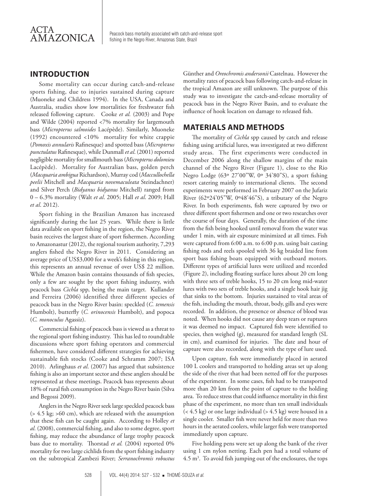

### **INTRODUCTION**

Some mortality can occur during catch-and-release sports fishing, due to injuries sustained during capture (Muoneke and Childress 1994). In the USA, Canada and Australia, studies show low mortalities for freshwater fish released following capture. Cooke *et al.* (2003) and Pope and Wilde (2004) reported <7% mortality for largemouth bass (*Micropterus salmoides* Lacépède). Similarly, Muoneke (1992) encountered <10% mortality for white crappie (*Pomoxis annularis* Rafinesque) and spotted bass (*Micropterus punctulatus* Rafinesque), while Dunmall *et al*. (2001) reported negligible mortality for smallmouth bass (*Micropterus dolomieu* Lacépède). Mortality for Australian bass, golden perch (*Macquaria ambigua* Richardson), Murray cod (*Maccullochella peelii* Mitchell and *Macquaria novemaculeata* Steindachner) and Silver Perch (*Bidyanus bidyanus* Mitchell) ranged from 0 – 6.3% mortality (Walt *et al*. 2005; Hall *et al*. 2009; Hall *et al*. 2012).

Sport fishing in the Brazilian Amazon has increased significantly during the last 25 years. While there is little data available on sport fishing in the region, the Negro River basin receives the largest share of sport fishermen. According to Amazonastur (2012), the regional tourism authority, 7,293 anglers fished the Negro River in 2011. Considering an average price of US\$3,000 for a week's fishing in this region, this represents an annual revenue of over US\$ 22 million. While the Amazon basin contains thousands of fish species, only a few are sought by the sport fishing industry, with peacock bass *Cichla* spp*,* being the main target. Kullander and Ferreira (2006) identified three different species of peacock bass in the Negro River basin: speckled (*C. temensis*  Humbolt), butterfly (*C. orinocensis* Humbolt), and popoca (*C. monoculus* Agassiz).

Commercial fishing of peacock bass is viewed as a threat to the regional sport fishing industry. This has led to roundtable discussions where sport fishing operators and commercial fishermen, have considered different strategies for achieving sustainable fish stocks (Cooke and Schramm 2007; ISA 2010). Arlinghaus *et al*. (2007) has argued that subsistence fishing is also an important sector and these anglers should be represented at these meetings. Peacock bass represents about 18% of rural fish consumption in the Negro River basin (Silva and Begossi 2009).

Anglers in the Negro River seek large speckled peacock bass (> 4.5 kg; >60 cm), which are released with the assumption that these fish can be caught again. According to Holley *et al.* (2008), commercial fishing, and also to some degree, sport fishing, may reduce the abundance of large trophy peacock bass due to mortality. Thorstad *et al.* (2004) reported 0% mortality for two large cichlids from the sport fishing industry on the subtropical Zambezi River; *Serranochromis robustus* 

Günther and *Oreochromis andersonii* Castelnau. However the mortality rates of peacock bass following catch-and-release in the tropical Amazon are still unknown. The purpose of this study was to investigate the catch-and-release mortality of peacock bass in the Negro River Basin, and to evaluate the influence of hook location on damage to released fish.

# **MATERIALS AND METHODS**

The mortality of *Cichla* spp caused by catch and release fishing using artificial lures, was investigated at two different study areas. The first experiments were conducted in December 2006 along the shallow margins of the main channel of the Negro River (Figure 1), close to the Rio Negro Lodge (63º 27'00"W, 0º 34'80"S), a sport fishing resort catering mainly to international clients. The second experiments were performed in February 2007 on the Jufariz River (62º24'05"W, 0º48'46"S), a tributary of the Negro River. In both experiments, fish were captured by two or three different sport fishermen and one or two researches over the course of four days. Generally, the duration of the time from the fish being hooked until removal from the water was under 1 min, with air exposure minimized at all times. Fish were captured from 6:00 a.m. to 6:00 p.m. using bait casting fishing rods and reels spooled with 36 kg braided line from sport bass fishing boats equipped with outboard motors. Different types of artificial lures were utilized and recorded (Figure 2), including floating surface lures about 20 cm long with three sets of treble hooks, 15 to 20 cm long mid-water lures with two sets of treble hooks, and a single hook hair jig that sinks to the bottom. Injuries sustained to vital areas of the fish, including the mouth, throat, body, gills and eyes were recorded. In addition, the presence or absence of blood was noted. When hooks did not cause any deep tears or ruptures it was deemed no impact. Captured fish were identified to species, then weighed (g), measured for standard length (SL in cm), and examined for injuries. The date and hour of capture were also recorded, along with the type of lure used.

Upon capture, fish were immediately placed in aerated 100 L coolers and transported to holding areas set up along the side of the river that had been netted off for the purposes of the experiment. In some cases, fish had to be transported more than 20 km from the point of capture to the holding area. To reduce stress that could influence mortality in this first phase of the experiment, no more than ten small individuals (< 4.5 kg) or one large individual (> 4.5 kg) were housed in a single cooler. Smaller fish were never held for more than two hours in the aerated coolers, while larger fish were transported immediately upon capture.

Five holding pens were set up along the bank of the river using 1 cm nylon netting. Each pen had a total volume of  $4.5 \text{ m}^3$ . To avoid fish jumping out of the enclosures, the tops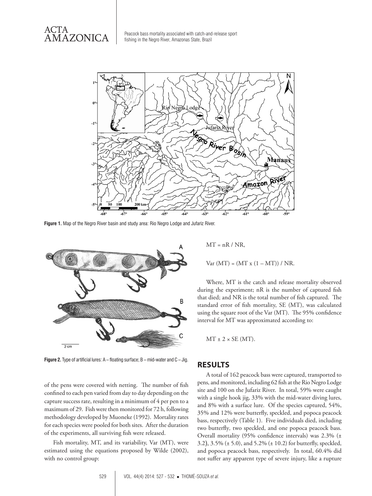ACTA AMAZONICA



**Figure 1.** Map of the Negro River basin and study area: Rio Negro Lodge and Jufariz River.



**Figure 2.** Type of artificial lures: A – floating surface; B – mid-water and C – Jig.

of the pens were covered with netting. The number of fish confined to each pen varied from day to day depending on the capture success rate, resulting in a minimum of 4 per pen to a maximum of 29. Fish were then monitored for 72 h, following methodology developed by Muoneke (1992).Mortality rates for each species were pooled for both sites. After the duration of the experiments, all surviving fish were released.

Fish mortality, MT, and its variability, Var (MT), were estimated using the equations proposed by Wilde (2002), with no control group:

 $MT = nR / NR$ ,

 $Var(MT) = (MT x (1 - MT)) / NR.$ 

Where, MT is the catch and release mortality observed during the experiment; nR is the number of captured fish that died; and NR is the total number of fish captured. The standard error of fish mortality, SE (MT), was calculated using the square root of the Var (MT). The 95% confidence interval for MT was approximated according to:

 $MT + 2 \times SE$  (MT).

#### **RESULTS**

A total of 162 peacock bass were captured, transported to pens, and monitored, including 62 fish at the Rio Negro Lodge site and 100 on the Jufariz River. In total, 59% were caught with a single hook jig, 33% with the mid-water diving lures, and 8% with a surface lure. Of the species captured, 54%, 35% and 12% were butterfly, speckled, and popoca peacock bass, respectively (Table 1). Five individuals died, including two butterfly*,* two speckled, and one popoca peacock bass. Overall mortality (95% confidence intervals) was 2.3% (± 3.2), 3.5% (± 5.0), and 5.2% (± 10.2) for butterfly, speckled, and popoca peacock bass, respectively. In total, 60.4% did not suffer any apparent type of severe injury, like a rupture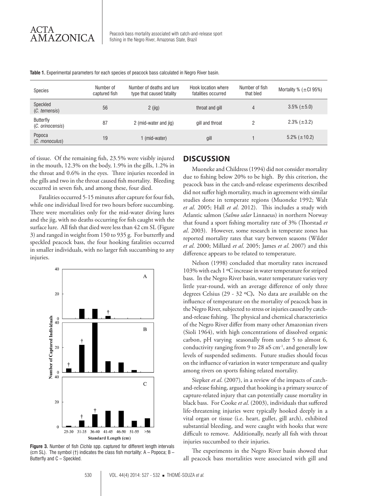| Species                       | Number of<br>captured fish | Number of deaths and lure<br>type that caused fatality | Hook location where<br>fatalities occurred | Number of fish<br>that bled | Mortality % $(\pm$ Cl 95%) |
|-------------------------------|----------------------------|--------------------------------------------------------|--------------------------------------------|-----------------------------|----------------------------|
| Speckled<br>(C. temensis)     | 56                         | $2$ (jig)                                              | throat and gill                            | 4                           | $3.5\%$ ( $\pm 5.0$ )      |
| Butterfly<br>(C. orinocensis) | 87                         | 2 (mid-water and jig)                                  | gill and throat                            | ŋ                           | $2.3\%$ ( $\pm 3.2$ )      |
| Popoca<br>(C. monoculus)      | 19                         | 1 (mid-water)                                          | gill                                       |                             | $5.2\%$ ( $\pm$ 10.2)      |

**Table 1.** Experimental parameters for each species of peacock bass calculated in Negro River basin.

of tissue. Of the remaining fish, 23.5% were visibly injured in the mouth, 12.3% on the body, 1.9% in the gills, 1.2% in the throat and 0.6% in the eyes. Three injuries recorded in the gills and two in the throat caused fish mortality. Bleeding occurred in seven fish, and among these, four died.

Fatalities occurred 5-15 minutes after capture for four fish, while one individual lived for two hours before succumbing. There were mortalities only for the mid-water diving lures and the jig, with no deaths occurring for fish caught with the surface lure. All fish that died were less than 42 cm SL (Figure 3) and ranged in weight from 150 to 935 g. For butterfly and speckled peacock bass, the four hooking fatalities occurred in smaller individuals, with no larger fish succumbing to any injuries.



**Figure 3.** Number of fish *Cichla* spp. captured for different length intervals (cm SL). The symbol (†) indicates the class fish mortality: A – Popoca; B – Butterfly and C – Speckled.

# **DISCUSSION**

Muoneke and Childress (1994) did not consider mortality due to fishing below 20% to be high. By this criterion, the peacock bass in the catch-and-release experiments described did not suffer high mortality, much in agreement with similar studies done in temperate regions (Muoneke 1992; Walt *et al*. 2005; Hall *et al*. 2012). This includes a study with Atlantic salmon (*Salmo salar* Linnaeus) in northern Norway that found a sport fishing mortality rate of 3% (Thorstad *et al*. 2003). However, some research in temperate zones has reported mortality rates that vary between seasons (Wilder *et al*. 2000; Millard *et al*. 2005; James *et al*. 2007) and this difference appears to be related to temperature.

Nelson (1998) concluded that mortality rates increased 103% with each 1 ºC increase in water temperature for striped bass. In the Negro River basin, water temperature varies very little year-round, with an average difference of only three degrees Celsius (29 - 32 ºC**).** No data are available on the influence of temperature on the mortality of peacock bass in the Negro River, subjected to stress or injuries caused by catchand-release fishing. The physical and chemical characteristics of the Negro River differ from many other Amazonian rivers (Sioli 1964), with high concentrations of dissolved organic carbon, pH varying seasonally from under 5 to almost 6, conductivity ranging from 9 to 28 *u*S cm-1, and generally low levels of suspended sediments. Future studies should focus on the influence of variation in water temperature and quality among rivers on sports fishing related mortality.

Siepker *et al*. (2007), in a review of the impacts of catchand-release fishing, argued that hooking is a primary source of capture-related injury that can potentially cause mortality in black bass. For Cooke *et al*. (2003), individuals that suffered life-threatening injuries were typically hooked deeply in a vital organ or tissue (i.e. heart, gullet, gill arch), exhibited substantial bleeding, and were caught with hooks that were difficult to remove. Additionally, nearly all fish with throat injuries succumbed to their injuries.

The experiments in the Negro River basin showed that all peacock bass mortalities were associated with gill and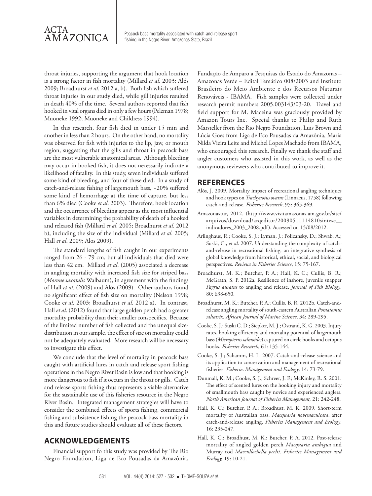throat injuries, supporting the argument that hook location is a strong factor in fish mortality (Millard *et al*. 2003; Alós 2009; Broadhurst *et al*. 2012 a, b). Both fish which suffered throat injuries in our study died, while gill injuries resulted in death 40% of the time. Several authors reported that fish hooked in vital organs died in only a few hours (Pelzman 1978; Muoneke 1992; Muoneke and Childress 1994).

In this research, four fish died in under 15 min and another in less than 2 hours. On the other hand, no mortality was observed for fish with injuries to the lip, jaw, or mouth region, suggesting that the gills and throat in peacock bass are the most vulnerable anatomical areas. Although bleeding may occur in hooked fish, it does not necessarily indicate a likelihood of fatality. In this study, seven individuals suffered some kind of bleeding, and four of these died. In a study of catch-and-release fishing of largemouth bass*, ~*20% suffered some kind of hemorrhage at the time of capture, but less than 6% died (Cooke *et al*. 2003). Therefore, hook location and the occurrence of bleeding appear as the most influential variables in determining the probability of death of a hooked and released fish (Millard *et al*. 2005; Broadhurst *et al*. 2012 b), including the size of the individual (Millard *et al*. 2005; Hall *et al*. 2009; Alos 2009).

The standard lengths of fish caught in our experiments ranged from 26 - 79 cm, but all individuals that died were less than 42 cm. Millard *et al*. (2005) associated a decrease in angling mortality with increased fish size for striped bass (*Morone saxatalis* Walbaum), in agreement with the findings of Hall *et al*. (2009) and Alós (2009). Other authors found no significant effect of fish size on mortality (Nelson 1998; Cooke e*t al*. 2003; Broadhurst *et al*. 2012 a). In contrast, Hall *et al*. (2012) found that large golden perch had a greater mortality probability than their smaller conspecifics. Because of the limited number of fish collected and the unequal sizedistribution in our sample, the effect of size on mortality could not be adequately evaluated. More research will be necessary to investigate this effect.

We conclude that the level of mortality in peacock bass caught with artificial lures in catch and release sport fishing operations in the Negro River Basin is low and that hooking is more dangerous to fish if it occurs in the throat or gills. Catch and release sports fishing thus represents a viable alternative for the sustainable use of this fisheries resource in the Negro River Basin. Integrated management strategies will have to consider the combined effects of sports fishing, commercial fishing and subsistence fishing the peacock bass mortality in this and future studies should evaluate all of these factors.

# **ACKNOWLEDGEMENTS**

Financial support fo this study was provided by The Rio Negro Foundation, Liga de Eco Pousadas da Amazônia,

Fundação de Amparo a Pesquisas do Estado do Amazonas – Amazonas Verde – Edital Temático 008/2003 and Instituto Brasileiro do Meio Ambiente e dos Recursos Naturais Renováveis - IBAMA. Fish samples were collected under research permit numbers 2005.003143/03-20. Travel and field support for M. Maceina was graciously provided by Amazon Tours Inc. Special thanks to Philip and Ruth Marsteller from the Rio Negro Foundation, Luis Brown and Lúcia Goes from Liga de Eco Pousadas da Amazônia, Maria Nilda Vieira Leite and Michel Lopes Machado from IBAMA, who encouraged this research. Finally we thank the staff and angler customers who assisted in this work, as well as the anonymous reviewers who contributed to improve it.

#### **REFERENCES**

- Alós, J. 2009. Mortality impact of recreational angling techniques and hook types on *Trachynotus ovatus* (Linnaeus, 1758) following catch-and-release. *Fisheries Research*, 95: 365-369.
- Amazonastur, 2012. (http://www.visitamazonas.am.gov.br/site/ arquivos/download/arqeditor/20090511114810sintese\_\_ indicadores\_2003\_2008.pdf). Accessed on 15/08/2012.
- Arlinghaus, R.; Cooke, S. J.; Lyman, J.; Policansky, D.; Shwab, A.; Suski, C., *et al*. 2007. Understanding the complexity of catchand-release in recreational fishing: an integrative synthesis of global knowledge from historical, ethical, social, and biological perspectives. *Reviews in Fisheries Science*, 15: 75-167.
- Broadhurst, M. K.; Butcher, P. A.; Hall, K. C.; Cullis, B. R.; McGrath, S. P. 2012a. Resilience of inshore, juvenile snapper *Pagrus auratus* to angling and release. *Journal of Fish Biology*, 80: 638-650.
- Broadhurst, M. K.; Butcher, P. A.; Cullis, B. R. 2012b. Catch-andrelease angling mortality of south-eastern Australian *Pomatomus saltatrix. African Journal of Marine Science*, 34: 289-295.
- Cooke, S. J.; Suski C. D.; Siepker, M. J.; Ostrand, K. G. 2003. Injury rates, hooking efficiency and mortality potential of largemouth bass (*Micropterus salmoides*) captured on circle hooks and octopus hooks. *Fisheries Research*, 61: 135-144.
- Cooke, S. J.; Schamm, H. L. 2007. Catch-and-release science and its application to conservation and management of recreational fisheries. *Fisheries Management and Ecology*, 14: 73-79.
- Dunmall, K. M.; Cooke, S. J.; Schreer, J. F.; McKinley, R. S. 2001. The effect of scented lures on the hooking injury and mortality of smallmouth bass caught by novice and experienced anglers. *North American Journal of Fisheries Management,* 21: 242-248.
- Hall, K. C.; Butcher, P. A.; Broadhust, M. K. 2009. Short-term mortality of Australian bass, *Macquaria novemaculeata*, after catch-and-release angling. *Fisheries Management and Ecology*, 16: 235-247.
- Hall, K. C.; Broadhust, M. K.; Butcher, P. A. 2012. Post-release mortality of angled golden perch *Macquaria ambigua* and Murray cod *Maccullochella peelii*. *Fisheries Management and Ecology,* 19: 10-21.